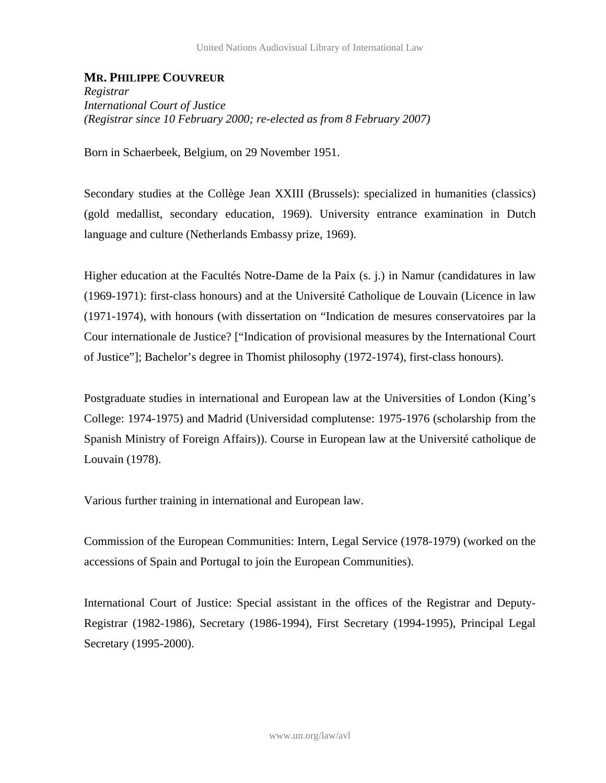## **MR. PHILIPPE COUVREUR**

*Registrar International Court of Justice (Registrar since 10 February 2000; re-elected as from 8 February 2007)* 

Born in Schaerbeek, Belgium, on 29 November 1951.

Secondary studies at the Collège Jean XXIII (Brussels): specialized in humanities (classics) (gold medallist, secondary education, 1969). University entrance examination in Dutch language and culture (Netherlands Embassy prize, 1969).

Higher education at the Facultés Notre-Dame de la Paix (s. j.) in Namur (candidatures in law (1969-1971): first-class honours) and at the Université Catholique de Louvain (Licence in law (1971-1974), with honours (with dissertation on "Indication de mesures conservatoires par la Cour internationale de Justice? ["Indication of provisional measures by the International Court of Justice"]; Bachelor's degree in Thomist philosophy (1972-1974), first-class honours).

Postgraduate studies in international and European law at the Universities of London (King's College: 1974-1975) and Madrid (Universidad complutense: 1975-1976 (scholarship from the Spanish Ministry of Foreign Affairs)). Course in European law at the Université catholique de Louvain (1978).

Various further training in international and European law.

Commission of the European Communities: Intern, Legal Service (1978-1979) (worked on the accessions of Spain and Portugal to join the European Communities).

International Court of Justice: Special assistant in the offices of the Registrar and Deputy-Registrar (1982-1986), Secretary (1986-1994), First Secretary (1994-1995), Principal Legal Secretary (1995-2000).